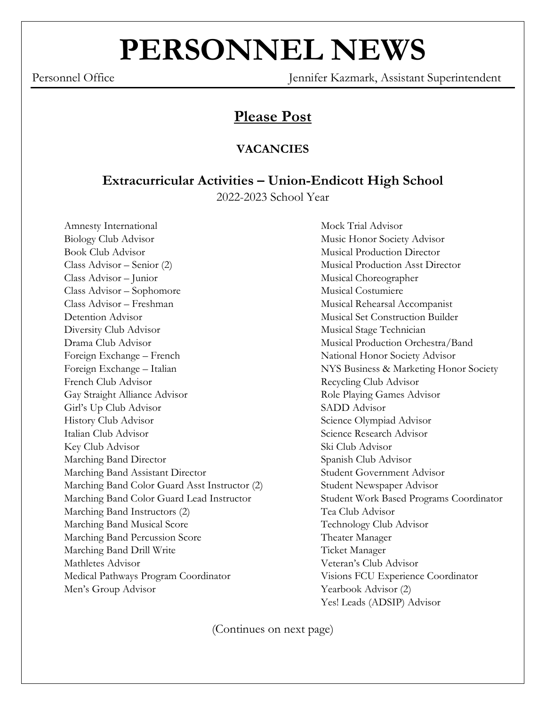# **PERSONNEL NEWS**

Personnel Office Jennifer Kazmark, Assistant Superintendent

# **Please Post**

## **VACANCIES**

# **Extracurricular Activities – Union-Endicott High School**

2022-2023 School Year

Amnesty International Mock Trial Advisor Biology Club Advisor **Music Honor Society Advisor** Music Honor Society Advisor Book Club Advisor **Musical Production Director** Class Advisor – Senior (2) Musical Production Asst Director Class Advisor – Junior Musical Choreographer Class Advisor – Sophomore Musical Costumiere Class Advisor – Freshman Musical Rehearsal Accompanist Detention Advisor Musical Set Construction Builder Diversity Club Advisor **Musical Stage Technician** Drama Club Advisor Musical Production Orchestra/Band Foreign Exchange – French National Honor Society Advisor Foreign Exchange – Italian NYS Business & Marketing Honor Society French Club Advisor Recycling Club Advisor Gay Straight Alliance Advisor **Role Playing Games Advisor** Role Playing Games Advisor Girl's Up Club Advisor SADD Advisor History Club Advisor Science Olympiad Advisor Italian Club Advisor Science Research Advisor Key Club Advisor Ski Club Advisor Marching Band Director Spanish Club Advisor Marching Band Assistant Director Student Government Advisor Marching Band Color Guard Asst Instructor (2) Student Newspaper Advisor Marching Band Color Guard Lead Instructor Student Work Based Programs Coordinator Marching Band Instructors (2) Tea Club Advisor Marching Band Musical Score Technology Club Advisor Marching Band Percussion Score Theater Manager Marching Band Drill Write Ticket Manager Mathletes Advisor Veteran's Club Advisor Medical Pathways Program Coordinator Visions FCU Experience Coordinator Men's Group Advisor Yearbook Advisor (2)

Yes! Leads (ADSIP) Advisor

(Continues on next page)